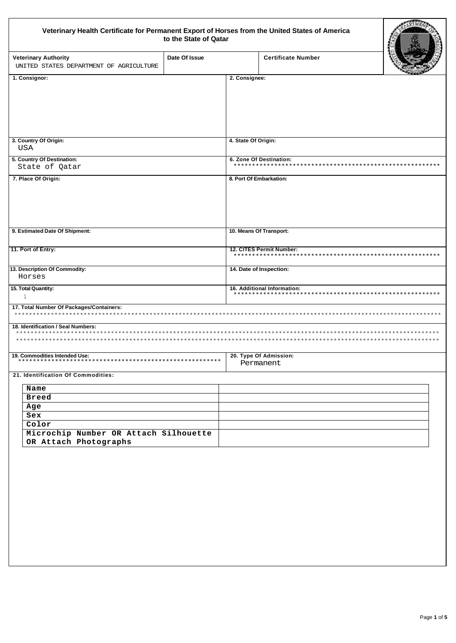## Veterinary Health Certificate for Permanent Export of Horses from the United States of America<br>to the State of Qatar

| Veterinary Health Certificate for Permanent Export of Horses from the United States of America | to the State of Qatar        |                             |                                                    |  |
|------------------------------------------------------------------------------------------------|------------------------------|-----------------------------|----------------------------------------------------|--|
| <b>Veterinary Authority</b>                                                                    | Date Of Issue                |                             | <b>Certificate Number</b>                          |  |
| UNITED STATES DEPARTMENT OF AGRICULTURE                                                        |                              |                             |                                                    |  |
| 1. Consignor:                                                                                  |                              | 2. Consignee:               |                                                    |  |
|                                                                                                |                              |                             |                                                    |  |
|                                                                                                |                              |                             |                                                    |  |
| 3. Country Of Origin:<br>USA                                                                   |                              | 4. State Of Origin:         |                                                    |  |
| 5. Country Of Destination:<br>State of Qatar                                                   |                              |                             | 6. Zone Of Destination:                            |  |
| 7. Place Of Origin:                                                                            |                              |                             | 8. Port Of Embarkation:                            |  |
| 9. Estimated Date Of Shipment:                                                                 |                              |                             | 10. Means Of Transport:                            |  |
| 11. Port of Entry:                                                                             |                              |                             | 12. CITES Permit Number:<br>********************** |  |
| 13. Description Of Commodity:<br>Horses                                                        |                              |                             | 14. Date of Inspection:                            |  |
| 15. Total Quantity:<br>$\mathbf{1}$                                                            |                              | 16. Additional Information: |                                                    |  |
| 17. Total Number Of Packages/Containers:<br>*****************************                      |                              |                             |                                                    |  |
| 18. Identification / Seal Numbers:<br>**************************                               |                              |                             |                                                    |  |
| 19. Commodities Intended Use:<br>*************************                                     | **************************** |                             | 20. Type Of Admission:<br>Permanent                |  |
| 21. Identification Of Commodities:                                                             |                              |                             |                                                    |  |
| Name                                                                                           |                              |                             |                                                    |  |
| <b>Breed</b>                                                                                   |                              |                             |                                                    |  |
| Age                                                                                            |                              |                             |                                                    |  |
| Sex                                                                                            |                              |                             |                                                    |  |
| Color                                                                                          |                              |                             |                                                    |  |
| Microchip Number OR Attach Silhouette                                                          |                              |                             |                                                    |  |
| OR Attach Photographs                                                                          |                              |                             |                                                    |  |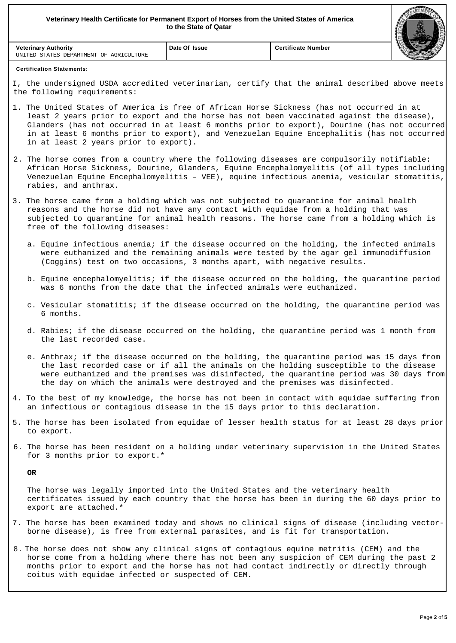

## **Certification Statements:**

UNITED STATES DEPARTMENT OF AGRICULTURE

**Veterinary Authority**

I, the undersigned USDA accredited veterinarian, certify that the animal described above meets the following requirements:

**Date Of Issue Certificate Number** 

- 1. The United States of America is free of African Horse Sickness (has not occurred in at least 2 years prior to export and the horse has not been vaccinated against the disease), Glanders (has not occurred in at least 6 months prior to export), Dourine (has not occurred in at least 6 months prior to export), and Venezuelan Equine Encephalitis (has not occurred in at least 2 years prior to export).
- 2. The horse comes from a country where the following diseases are compulsorily notifiable: African Horse Sickness, Dourine, Glanders, Equine Encephalomyelitis (of all types including Venezuelan Equine Encephalomyelitis – VEE), equine infectious anemia, vesicular stomatitis, rabies, and anthrax.
- 3. The horse came from a holding which was not subjected to quarantine for animal health reasons and the horse did not have any contact with equidae from a holding that was subjected to quarantine for animal health reasons. The horse came from a holding which is free of the following diseases:
	- a. Equine infectious anemia; if the disease occurred on the holding, the infected animals were euthanized and the remaining animals were tested by the agar gel immunodiffusion (Coggins) test on two occasions, 3 months apart, with negative results.
	- b. Equine encephalomyelitis; if the disease occurred on the holding, the quarantine period was 6 months from the date that the infected animals were euthanized.
	- c. Vesicular stomatitis; if the disease occurred on the holding, the quarantine period was 6 months.
	- d. Rabies; if the disease occurred on the holding, the quarantine period was 1 month from the last recorded case.
	- e. Anthrax; if the disease occurred on the holding, the quarantine period was 15 days from the last recorded case or if all the animals on the holding susceptible to the disease were euthanized and the premises was disinfected, the quarantine period was 30 days from the day on which the animals were destroyed and the premises was disinfected.
- 4. To the best of my knowledge, the horse has not been in contact with equidae suffering from an infectious or contagious disease in the 15 days prior to this declaration.
- 5. The horse has been isolated from equidae of lesser health status for at least 28 days prior to export.
- 6. The horse has been resident on a holding under veterinary supervision in the United States for 3 months prior to export.\*

**OR** 

 The horse was legally imported into the United States and the veterinary health certificates issued by each country that the horse has been in during the 60 days prior to export are attached.\*

- 7. The horse has been examined today and shows no clinical signs of disease (including vector borne disease), is free from external parasites, and is fit for transportation.
- 8. The horse does not show any clinical signs of contagious equine metritis (CEM) and the horse come from a holding where there has not been any suspicion of CEM during the past 2 months prior to export and the horse has not had contact indirectly or directly through coitus with equidae infected or suspected of CEM.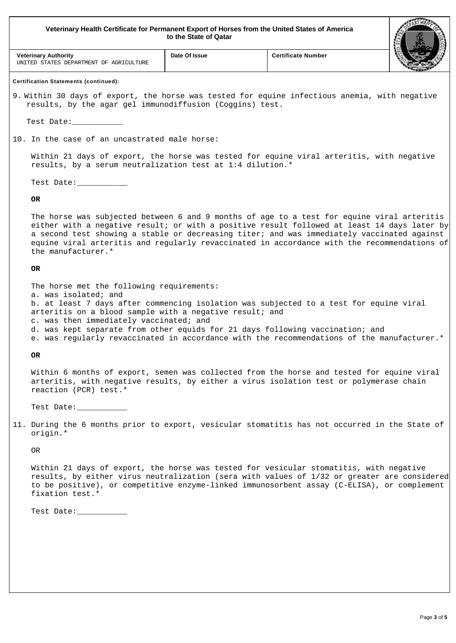| Veterinary Health Certificate for Permanent Export of Horses from the United States of America<br>to the State of Qatar |                                                                                                                                                                                                                                                                                                                                                                                                                                                  |               |                           |  |  |  |
|-------------------------------------------------------------------------------------------------------------------------|--------------------------------------------------------------------------------------------------------------------------------------------------------------------------------------------------------------------------------------------------------------------------------------------------------------------------------------------------------------------------------------------------------------------------------------------------|---------------|---------------------------|--|--|--|
|                                                                                                                         | <b>Veterinary Authority</b><br>UNITED STATES DEPARTMENT OF AGRICULTURE                                                                                                                                                                                                                                                                                                                                                                           | Date Of Issue | <b>Certificate Number</b> |  |  |  |
|                                                                                                                         | <b>Certification Statements (continued):</b>                                                                                                                                                                                                                                                                                                                                                                                                     |               |                           |  |  |  |
|                                                                                                                         | 9. Within 30 days of export, the horse was tested for equine infectious anemia, with negative<br>results, by the agar gel immunodiffusion (Coggins) test.                                                                                                                                                                                                                                                                                        |               |                           |  |  |  |
|                                                                                                                         | Test Date: The Second Second Second Second Second Second Second Second Second Second Second Second Second Second Second Second Second Second Second Second Second Second Second Second Second Second Second Second Second Seco                                                                                                                                                                                                                   |               |                           |  |  |  |
|                                                                                                                         | 10. In the case of an uncastrated male horse:                                                                                                                                                                                                                                                                                                                                                                                                    |               |                           |  |  |  |
|                                                                                                                         | Within 21 days of export, the horse was tested for equine viral arteritis, with negative<br>results, by a serum neutralization test at 1:4 dilution.*                                                                                                                                                                                                                                                                                            |               |                           |  |  |  |
|                                                                                                                         | Test Date: The Second Second Second Second Second Second Second Second Second Second Second Second Second Second Second Second Second Second Second Second Second Second Second Second Second Second Second Second Second Seco                                                                                                                                                                                                                   |               |                           |  |  |  |
|                                                                                                                         | OR.                                                                                                                                                                                                                                                                                                                                                                                                                                              |               |                           |  |  |  |
|                                                                                                                         | The horse was subjected between 6 and 9 months of age to a test for equine viral arteritis<br>either with a negative result; or with a positive result followed at least 14 days later by<br>a second test showing a stable or decreasing titer; and was immediately vaccinated against<br>equine viral arteritis and regularly revaccinated in accordance with the recommendations of<br>the manufacturer.*                                     |               |                           |  |  |  |
|                                                                                                                         | OR.                                                                                                                                                                                                                                                                                                                                                                                                                                              |               |                           |  |  |  |
|                                                                                                                         | The horse met the following requirements:<br>a. was isolated; and<br>b. at least 7 days after commencing isolation was subjected to a test for equine viral<br>arteritis on a blood sample with a negative result; and<br>c. was then immediately vaccinated; and<br>d. was kept separate from other equids for 21 days following vaccination; and<br>e. was regularly revaccinated in accordance with the recommendations of the manufacturer.* |               |                           |  |  |  |
|                                                                                                                         | 0R                                                                                                                                                                                                                                                                                                                                                                                                                                               |               |                           |  |  |  |
|                                                                                                                         | Within 6 months of export, semen was collected from the horse and tested for equine viral<br>arteritis, with negative results, by either a virus isolation test or polymerase chain<br>reaction (PCR) test.*                                                                                                                                                                                                                                     |               |                           |  |  |  |
|                                                                                                                         | Test Date:                                                                                                                                                                                                                                                                                                                                                                                                                                       |               |                           |  |  |  |
|                                                                                                                         | 11. During the 6 months prior to export, vesicular stomatitis has not occurred in the State of<br>origin.*                                                                                                                                                                                                                                                                                                                                       |               |                           |  |  |  |
|                                                                                                                         | 0R                                                                                                                                                                                                                                                                                                                                                                                                                                               |               |                           |  |  |  |
|                                                                                                                         | Within 21 days of export, the horse was tested for vesicular stomatitis, with negative<br>results, by either virus neutralization (sera with values of 1/32 or greater are considered<br>to be positive), or competitive enzyme-linked immunosorbent assay (C-ELISA), or complement<br>fixation test.*                                                                                                                                           |               |                           |  |  |  |
|                                                                                                                         | Test Date:                                                                                                                                                                                                                                                                                                                                                                                                                                       |               |                           |  |  |  |
|                                                                                                                         |                                                                                                                                                                                                                                                                                                                                                                                                                                                  |               |                           |  |  |  |
|                                                                                                                         |                                                                                                                                                                                                                                                                                                                                                                                                                                                  |               |                           |  |  |  |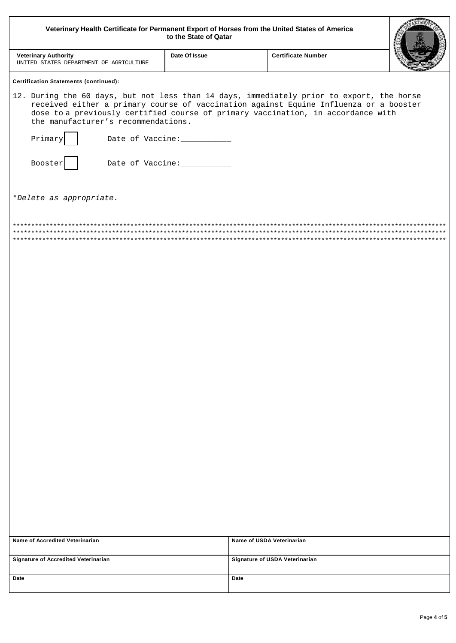| Veterinary Health Certificate for Permanent Export of Horses from the United States of America<br>to the State of Qatar |                                                                                                    |                                                                                                                                                                                                                                                                        |  |  |
|-------------------------------------------------------------------------------------------------------------------------|----------------------------------------------------------------------------------------------------|------------------------------------------------------------------------------------------------------------------------------------------------------------------------------------------------------------------------------------------------------------------------|--|--|
| <b>Veterinary Authority</b><br>UNITED STATES DEPARTMENT OF AGRICULTURE                                                  | Date Of Issue                                                                                      | <b>Certificate Number</b>                                                                                                                                                                                                                                              |  |  |
| <b>Certification Statements (continued):</b>                                                                            |                                                                                                    |                                                                                                                                                                                                                                                                        |  |  |
| the manufacturer's recommendations.<br>Primary<br>Booster<br>*Delete as appropriate.                                    | Date of Vaccine: ____________<br>Date of Vaccine: ___________<br>********************************* | 12. During the 60 days, but not less than 14 days, immediately prior to export, the horse<br>received either a primary course of vaccination against Equine Influenza or a booster<br>dose to a previously certified course of primary vaccination, in accordance with |  |  |
|                                                                                                                         |                                                                                                    |                                                                                                                                                                                                                                                                        |  |  |
|                                                                                                                         |                                                                                                    |                                                                                                                                                                                                                                                                        |  |  |
| Name of Accredited Veterinarian                                                                                         |                                                                                                    | Name of USDA Veterinarian                                                                                                                                                                                                                                              |  |  |
| Signature of Accredited Veterinarian                                                                                    |                                                                                                    | Signature of USDA Veterinarian                                                                                                                                                                                                                                         |  |  |
| Date                                                                                                                    |                                                                                                    | Date                                                                                                                                                                                                                                                                   |  |  |